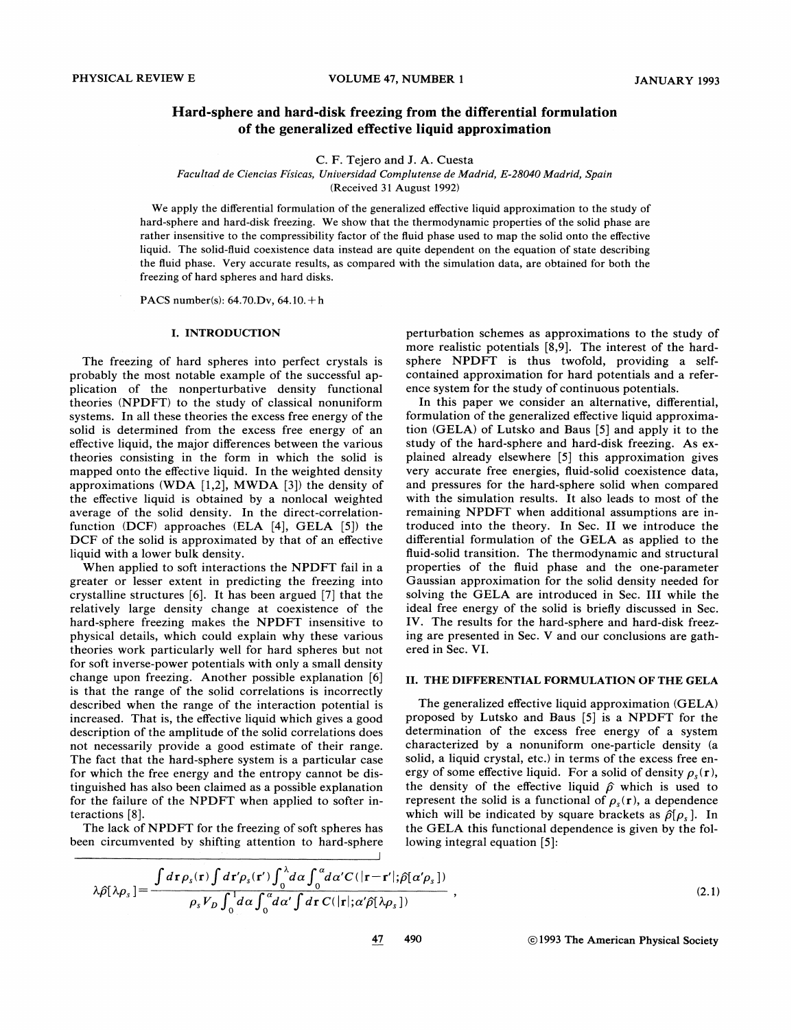# Hard-sphere and hard-disk freezing from the differential formulation of the generalized effective liquid approximation

C. F. Tejero and J. A. Cuesta

#### Facultad de Ciencias Físicas, Universidad Complutense de Madrid, E-28040 Madrid, Spain

(Received 31 August 1992)

We apply the differential formulation of the generalized effective liquid approximation to the study of hard-sphere and hard-disk freezing. We show that the thermodynamic properties of the solid phase are rather insensitive to the compressibility factor of the fluid phase used to map the solid onto the effective liquid. The solid-fluid coexistence data instead are quite dependent on the equation of state describing the fluid phase. Very accurate results, as compared with the simulation data, are obtained for both the freezing of hard spheres and hard disks.

PACS number(s): 64.70.Dv, 64.10.+<sup>h</sup>

#### I. INTRODUCTION

The freezing of hard spheres into perfect crystals is probably the most notable example of the successful application of the nonperturbative density functional theories (NPDFT) to the study of classical nonuniform systems. In all these theories the excess free energy of the solid is determined from the excess free energy of an effective liquid, the major differences between the various theories consisting in the form in which the solid is mapped onto the effective liquid. In the weighted density approximations (WDA  $[1,2]$ , MWDA  $[3]$ ) the density of the effective liquid is obtained by a nonlocal weighted average of the solid density. In the direct-correlationfunction (DCF) approaches (ELA [4], GELA [5]) the DCF of the solid is approximated by that of an effective liquid with a lower bulk density.

When applied to soft interactions the NPDFT fail in a greater or lesser extent in predicting the freezing into crystalline structures [6]. It has been argued [7] that the relatively large density change at coexistence of the hard-sphere freezing makes the NPDFT insensitive to physical details, which could explain why these various theories work particularly well for hard spheres but not for soft inverse-power potentials with only a small density change upon freezing. Another possible explanation [6] is that the range of the solid correlations is incorrectly described when the range of the interaction potential is increased. That is, the effective liquid which gives a good description of the amplitude of the solid correlations does not necessarily provide a good estimate of their range. The fact that the hard-sphere system is a particular case for which the free energy and the entropy cannot be distinguished has also been claimed as a possible explanation for the failure of the NPDFT when applied to softer interactions [8].

The lack of NPDFT for the freezing of soft spheres has been circumvented by shifting attention to hard-sphere perturbation schemes as approximations to the study of more realistic potentials [8,9]. The interest of the hardsphere NPDFT is thus twofold, providing a selfcontained approximation for hard potentials and a reference system for the study of continuous potentials.

In this paper we consider an alternative, differential, formulation of the generalized effective liquid approximation (GELA) of Lutsko and Baus [5] and apply it to the study of the hard-sphere and hard-disk freezing. As explained already elsewhere [5] this approximation gives very accurate free energies, fluid-solid coexistence data, and pressures for the hard-sphere solid when compared with the simulation results. It also leads to most of the remaining NPDFT when additional assumptions are introduced into the theory. In Sec. II we introduce the differential formulation of the GELA as applied to the fluid-solid transition. The thermodynamic and structural properties of the fluid phase and the one-parameter Gaussian approximation for the solid density needed for solving the GELA are introduced in Sec. III while the ideal free energy of the solid is briefly discussed in Sec. IV. The results for the hard-sphere and hard-disk freezing are presented in Sec. V and our conclusions are gathered in Sec. VI.

### II. THE DIFFERENTIAL FORMULATION OF THE GELA

The generalized effective liquid approximation (GELA) proposed by Lutsko and Baus [5] is a NPDFT for the determination of the excess free energy of a system characterized by a nonuniform one-particle density (a solid, a liquid crystal, etc.) in terms of the excess free energy of some effective liquid. For a solid of density  $\rho_{\rm s}({\bf r})$ , the density of the effective liquid  $\hat{\rho}$  which is used to represent the solid is a functional of  $\rho_s(\mathbf{r})$ , a dependence which will be indicated by square brackets as  $\hat{\rho}[\rho_{\rm s}]$ . In the GELA this functional dependence is given by the following integral equation [5]:

$$
\lambda \hat{\rho}[\lambda \rho_s] = \frac{\int d\mathbf{r} \rho_s(\mathbf{r}) \int d\mathbf{r}' \rho_s(\mathbf{r}') \int_0^{\lambda} d\alpha \int_0^{\alpha} d\alpha' C(|\mathbf{r} - \mathbf{r}';\hat{\rho}[\alpha' \rho_s])}{\rho_s V_D \int_0^1 d\alpha \int_0^{\alpha} d\alpha' \int d\mathbf{r} C(|\mathbf{r}|; \alpha' \hat{\rho}[\lambda \rho_s])},
$$
\n(2.1)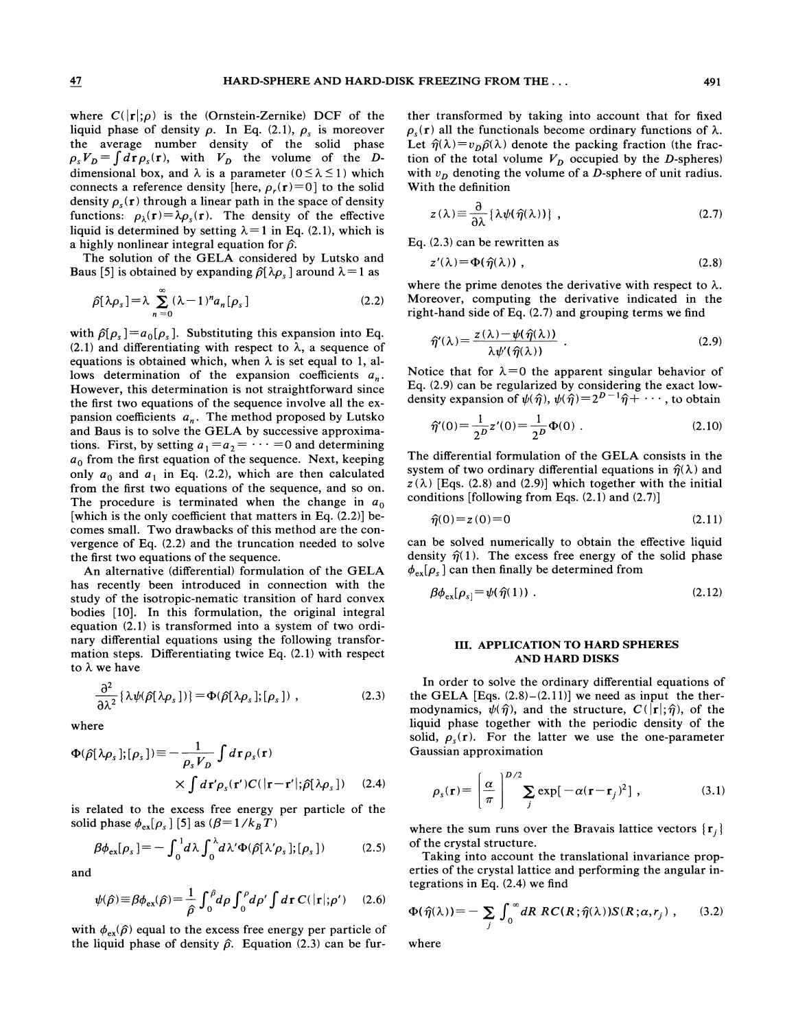where  $C(|r|;\rho)$  is the (Ornstein-Zernike) DCF of the liquid phase of density  $\rho$ . In Eq. (2.1),  $\rho_s$  is moreover the average number density of the solid phase  $p_s V_D = \int d\mathbf{r} \rho_s(\mathbf{r})$ , with  $V_D$  the volume of the D dimensional box, and  $\lambda$  is a parameter ( $0 \le \lambda \le 1$ ) which connects a reference density [here,  $\rho_r(\mathbf{r})=0$ ] to the solid density  $\rho_s(r)$  through a linear path in the space of density functions:  $\rho_{\lambda}(\mathbf{r}) = \lambda \rho_{s}(\mathbf{r})$ . The density of the effective liquid is determined by setting  $\lambda=1$  in Eq. (2.1), which is a highly nonlinear integral equation for  $\hat{\rho}$ .

The solution of the GELA considered by Lutsko and Baus [5] is obtained by expanding  $\hat{\rho}[\lambda \rho_s]$  around  $\lambda = 1$  as

$$
\hat{\rho}[\lambda \rho_s] = \lambda \sum_{n=0}^{\infty} (\lambda - 1)^n a_n[\rho_s]
$$
 (2.2)

with  $\hat{\rho}[\rho_s] = a_0[\rho_s]$ . Substituting this expansion into Eq.  $(2.1)$  and differentiating with respect to  $\lambda$ , a sequence of equations is obtained which, when  $\lambda$  is set equal to 1, allows determination of the expansion coefficients  $a_n$ . However, this determination is not straightforward since the first two equations of the sequence involve all the expansion coefficients  $a_n$ . The method proposed by Lutsko and Baus is to solve the GELA by successive approximations. First, by setting  $a_1 = a_2 = \cdots = 0$  and determining  $a_0$  from the first equation of the sequence. Next, keeping only  $a_0$  and  $a_1$  in Eq. (2.2), which are then calculated from the first two equations of the sequence, and so on. The procedure is terminated when the change in  $a_0$ [which is the only coefficient that matters in Eq. (2.2)] becomes small. Two drawbacks of this method are the convergence of Eq. (2.2) and the truncation needed to solve the first two equations of the sequence.

An alternative (differential) formulation of the GELA has recently been introduced in connection with the study of the isotropic-nematic transition of hard convex bodies [10]. In this formulation, the original integral equation (2.1) is transformed into a system of two ordinary differential equations using the following transformation steps. Differentiating twice Eq. (2.1) with respect to  $\lambda$  we have

$$
\frac{\partial^2}{\partial \lambda^2} \{\lambda \psi(\hat{\rho}[\lambda \rho_s])\} = \Phi(\hat{\rho}[\lambda \rho_s]; [\rho_s]) , \qquad (2.3)
$$

where

$$
\Phi(\hat{\rho}[\lambda \rho_s]; [\rho_s]) \equiv -\frac{1}{\rho_s V_D} \int d\mathbf{r} \rho_s(\mathbf{r})
$$
  
 
$$
\times \int d\mathbf{r}' \rho_s(\mathbf{r}') C(|\mathbf{r} - \mathbf{r}'|; \hat{\rho}[\lambda \rho_s]) \quad (2.4)
$$

is related to the excess free energy per particle of the solid phase  $\phi_{ex}[\rho_s]$  [5] as  $(\beta = 1 / k_B T)$ 

$$
\beta \phi_{\text{ex}}[\rho_s] = -\int_0^1 d\lambda \int_0^{\lambda} d\lambda' \Phi(\hat{\rho}[\lambda' \rho_s]; [\rho_s]) \tag{2.5}
$$

and

$$
\psi(\hat{\rho}) \equiv \beta \phi_{\text{ex}}(\hat{\rho}) = \frac{1}{\hat{\rho}} \int_0^{\hat{\rho}} d\rho \int_0^{\rho} d\rho' \int d\mathbf{r} C(|\mathbf{r}|; \rho') \quad (2.6)
$$

with  $\phi_{\rm ex}(\hat{\rho})$  equal to the excess free energy per particle of the liquid phase of density  $\hat{\rho}$ . Equation (2.3) can be fur-

ther transformed by taking into account that for fixed  $\rho_{s}(\mathbf{r})$  all the functionals become ordinary functions of  $\lambda$ . Let  $\hat{\eta}(\lambda) = v_D \hat{\rho}(\lambda)$  denote the packing fraction (the fraction of the total volume  $V_D$  occupied by the D-spheres) with  $v<sub>D</sub>$  denoting the volume of a D-sphere of unit radius. With the definition

$$
z(\lambda) \equiv \frac{\partial}{\partial \lambda} \{ \lambda \psi(\hat{\eta}(\lambda)) \}, \qquad (2.7)
$$

Eq. (2.3) can be rewritten as

$$
z'(\lambda) = \Phi(\hat{\eta}(\lambda)), \qquad (2.8)
$$

where the prime denotes the derivative with respect to  $\lambda$ . Moreover, computing the derivative indicated in the right-hand side of Eq. (2.7) and grouping terms we find

$$
\widehat{\eta}(\lambda) = \frac{z(\lambda) - \psi(\widehat{\eta}(\lambda))}{\lambda \psi'(\widehat{\eta}(\lambda))} \ . \tag{2.9}
$$

Notice that for  $\lambda = 0$  the apparent singular behavior of Eq. (2.9) can be regularized by considering the exact low-

density expansion of 
$$
\psi(\hat{\eta}), \psi(\hat{\eta}) = 2^{D-1}\hat{\eta} + \cdots
$$
, to obtain  

$$
\hat{\eta}'(0) = \frac{1}{2^D}z'(0) = \frac{1}{2^D}\Phi(0) .
$$
 (2.10)

The differential formulation of the GELA consists in the system of two ordinary differential equations in  $\hat{\eta}(\lambda)$  and  $z(\lambda)$  [Eqs. (2.8) and (2.9)] which together with the initial conditions [following from Eqs.  $(2.1)$  and  $(2.7)$ ]

$$
\hat{\eta}(0) = z(0) = 0 \tag{2.11}
$$

can be solved numerically to obtain the effective liquid density  $\hat{\eta}(1)$ . The excess free energy of the solid phase  $\phi_{\text{ex}}[\rho_{\text{s}}]$  can then finally be determined from

$$
\beta \phi_{\text{ex}}[\rho_{s}] = \psi(\hat{\eta}(1)) \tag{2.12}
$$

### III. APPLICATION TO HARD SPHERES AND HARD DISKS

In order to solve the ordinary differential equations of the GELA  $[Eqs. (2.8) - (2.11)]$  we need as input the thermodynamics,  $\psi(\hat{\eta})$ , and the structure,  $C(|\mathbf{r}|;\hat{\eta})$ , of the liquid phase together with the periodic density of the solid,  $\rho_s(r)$ . For the latter we use the one-parameter Gaussian approximation

$$
p_s(\mathbf{r}) = \left(\frac{\alpha}{\pi}\right)^{D/2} \sum_j \exp[-\alpha(\mathbf{r} - \mathbf{r}_j)^2], \qquad (3.1)
$$

where the sum runs over the Bravais lattice vectors  $\{r_i\}$ of the crystal structure.

Taking into account the translational invariance properties of the crystal lattice and performing the angular integrations in Eq. (2.4) we find

$$
\Phi(\hat{\eta}(\lambda)) = -\sum_{j} \int_0^{\infty} dR \, RC(R; \hat{\eta}(\lambda)) S(R; \alpha, r_j) \;, \qquad (3.2)
$$

where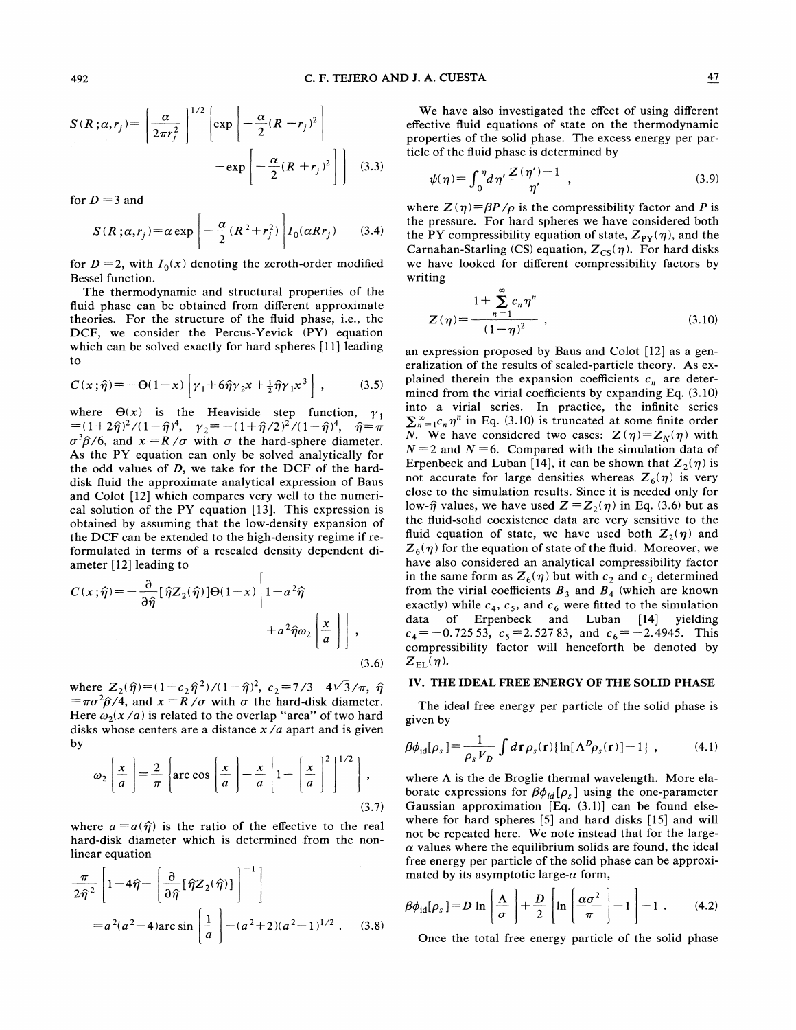$$
S(R; \alpha, r_j) = \left[\frac{\alpha}{2\pi r_j^2}\right]^{1/2} \left[\exp\left[-\frac{\alpha}{2}(R - r_j)^2\right]\right] - \exp\left[-\frac{\alpha}{2}(R + r_j)^2\right]\right] \quad (3.3)
$$

for  $D = 3$  and

$$
S(R;\alpha,r_j) = \alpha \exp\left[-\frac{\alpha}{2}(R^2 + r_j^2)\right] I_0(\alpha R r_j) \qquad (3.4)
$$

for  $D = 2$ , with  $I_0(x)$  denoting the zeroth-order modified Bessel function.

The thermodynamic and structural properties of the fluid phase can be obtained from different approximate theories. For the structure of the fluid phase, i.e., the DCF, we consider the Percus-Yevick (PY) equation which can be solved exactly for hard spheres  $[11]$  leading to

$$
C(x;\hat{\eta}) = -\Theta(1-x)\left[\gamma_1 + 6\hat{\eta}\gamma_2 x + \frac{1}{2}\hat{\eta}\gamma_1 x^3\right],\qquad(3.5)
$$

where  $\Theta(x)$  is the Heaviside step function,  $\gamma_1 = (1+2\hat{\eta})^2/(1-\hat{\eta})^4$ ,  $\gamma_2 = -(1+\hat{\eta}/2)^2/(1-\hat{\eta})^4$ ,  $\hat{\eta} = \pi$  $\sigma^3 \hat{\rho}/6$ , and  $x = R/\sigma$  with  $\sigma$  the hard-sphere diameter. As the PY equation can only be solved analytically for the odd values of D, we take for the DCF of the harddisk fluid the approximate analytical expression of Baus and Colot [12] which compares very well to the numerical solution of the PY equation [13]. This expression is obtained by assuming that the low-density expansion of the DCF can be extended to the high-density regime if reformulated in terms of a rescaled density dependent diameter [12] leading to

$$
C(x;\hat{\eta}) = -\frac{\partial}{\partial \hat{\eta}} [\hat{\eta} Z_2(\hat{\eta})] \Theta(1-x) \left[ 1 - a^2 \hat{\eta} + a^2 \hat{\eta} \omega_2 \left[ \frac{x}{a} \right] \right],
$$
\n(3.6)

where  $Z_2(\hat{\eta}) = (1+c_2\hat{\eta}^2)/(1-\hat{\eta})^2$ ,  $c_2 = 7/3 - 4\sqrt{3}/\pi$ ,  $\hat{\eta}$  $=\pi\sigma^2\hat{\rho}/4$ , and  $x = R/\sigma$  with  $\sigma$  the hard-disk diameter. Here  $\omega_2(x/a)$  is related to the overlap "area" of two hard disks whose centers are a distance  $x/a$  apart and is given by

$$
\omega_2 \left[ \frac{x}{a} \right] = \frac{2}{\pi} \left\{ \arccos \left[ \frac{x}{a} \right] - \frac{x}{a} \left[ 1 - \left[ \frac{x}{a} \right]^2 \right]^{1/2} \right\},\tag{3.7}
$$

where  $a = a(\hat{\eta})$  is the ratio of the effective to the real hard-disk diameter which is determined from the nonlinear equation

$$
\frac{\pi}{2\hat{\eta}^2} \left[ 1 - 4\hat{\eta} - \left[ \frac{\partial}{\partial \hat{\eta}} [\hat{\eta} Z_2(\hat{\eta})] \right]^{-1} \right]
$$
  
=  $a^2(a^2 - 4)$ arc sin  $\left[ \frac{1}{a} \right] - (a^2 + 2)(a^2 - 1)^{1/2}$ . (3.8)

We have also investigated the effect of using different effective fluid equations of state on the thermodynamic properties of the solid phase. The excess energy per particle of the fluid phase is determined by

$$
\psi(\eta) = \int_0^{\eta} d\eta' \frac{Z(\eta') - 1}{\eta'}, \qquad (3.9)
$$

where  $Z(\eta) = \beta P/\rho$  is the compressibility factor and P is the pressure. For hard spheres we have considered both the PY compressibility equation of state,  $Z_{PY}(\eta)$ , and the Carnahan-Starling (CS) equation,  $Z_{CS}(\eta)$ . For hard disks we have looked for different compressibility factors by writing

$$
Z(\eta) = \frac{1 + \sum_{n=1}^{\infty} c_n \eta^n}{(1 - \eta)^2},
$$
\n(3.10)

an expression proposed by Baus and Colot [12] as a generalization of the results of scaled-particle theory. As explained therein the expansion coefficients  $c_n$  are determined from the virial coefficients by expanding Eq. (3.10) into a virial series. In practice, the infinite series  $\sum_{n=1}^{\infty} c_n \eta^n$  in Eq. (3.10) is truncated at some finite order *N*. We have considered two cases:  $Z(\eta) = Z_N(\eta)$  with  $N = 2$  and  $N = 6$ . Compared with the simulation data of Erpenbeck and Luban [14], it can be shown that  $Z_2(\eta)$  is not accurate for large densities whereas  $Z_6(\eta)$  is very close to the simulation results. Since it is needed only for low- $\hat{\eta}$  values, we have used  $Z = Z_2(\eta)$  in Eq. (3.6) but as the fluid-solid coexistence data are very sensitive to the fluid equation of state, we have used both  $Z_2(\eta)$  and  $Z_6(\eta)$  for the equation of state of the fluid. Moreover, we have also considered an analytical compressibility factor in the same form as  $Z_6(\eta)$  but with  $c_2$  and  $c_3$  determined from the virial coefficients  $B_3$  and  $B_4$  (which are known exactly) while  $c_4$ ,  $c_5$ , and  $c_6$  were fitted to the simulation data of Erpenbeck and Luban [14] yielding  $c_4 = -0.72553$ ,  $c_5 = 2.52783$ , and  $c_6 = -2.4945$ . This compressibility factor will henceforth be denoted by  $Z_{\rm EL}(\eta)$ .

#### IV. THE IDEAL FREE ENERGY OF THE SOLID PHASE

The ideal free energy per particle of the solid phase is given by

$$
\beta \phi_{\rm id}[\rho_s] = \frac{1}{\rho_s V_D} \int d\mathbf{r} \rho_s(\mathbf{r}) \{ \ln[\Lambda^D \rho_s(\mathbf{r})] - 1 \}, \qquad (4.1)
$$

where  $\Lambda$  is the de Broglie thermal wavelength. More elaborate expressions for  $\beta \phi_{id}[\rho_s]$  using the one-parameter Gaussian approximation [Eq. (3.1)) can be found elsewhere for hard spheres [5] and hard disks [15] and will not be repeated here. We note instead that for the large-  $\alpha$  values where the equilibrium solids are found, the ideal free energy per particle of the solid phase can be approximated by its asymptotic large- $\alpha$  form,

$$
\beta \phi_{\text{id}}[\rho_s] = D \ln \left( \frac{\Lambda}{\sigma} \right) + \frac{D}{2} \left[ \ln \left( \frac{\alpha \sigma^2}{\pi} \right) - 1 \right] - 1 \quad (4.2)
$$

Once the total free energy particle of the solid phase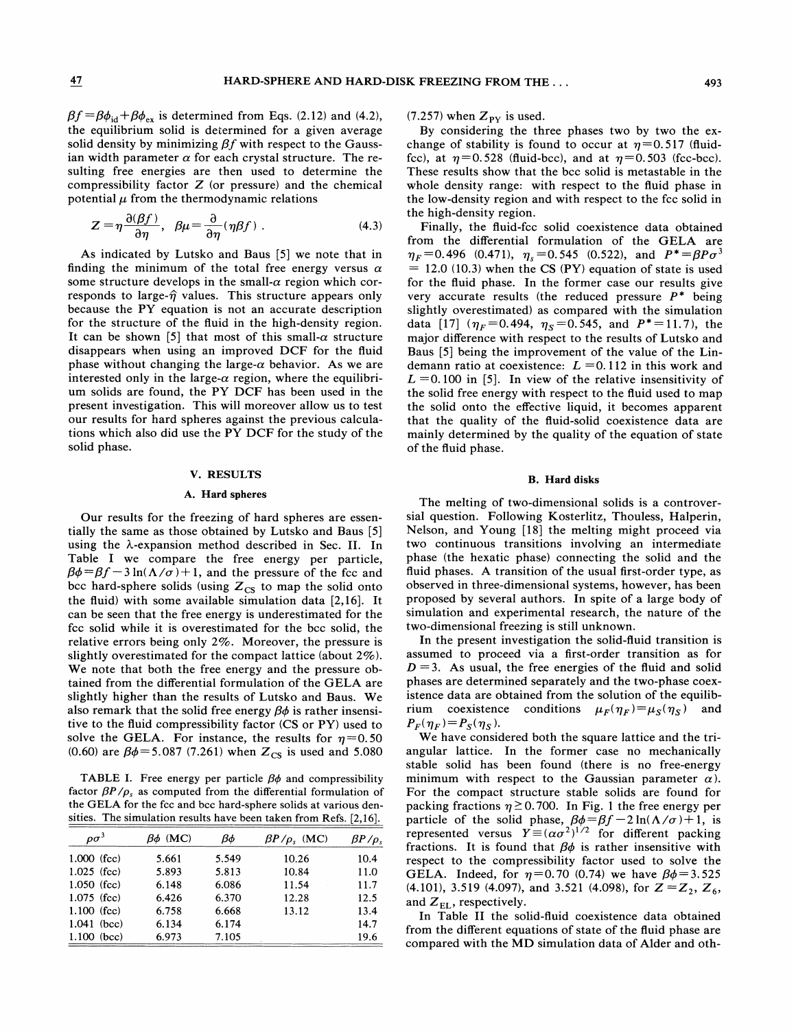$\beta f = \beta \phi_{\text{id}} + \beta \phi_{\text{ex}}$  is determined from Eqs. (2.12) and (4.2), the equilibrium solid is determined for a given average solid density by minimizing  $\beta f$  with respect to the Gaussian width parameter  $\alpha$  for each crystal structure. The resulting free energies are then used to determine the compressibility factor  $Z$  (or pressure) and the chemical potential  $\mu$  from the thermodynamic relations

$$
Z = \eta \frac{\partial(\beta f)}{\partial \eta}, \quad \beta \mu = \frac{\partial}{\partial \eta} (\eta \beta f) \tag{4.3}
$$

As indicated by Lutsko and Baus [5] we note that in finding the minimum of the total free energy versus  $\alpha$ some structure develops in the small- $\alpha$  region which corresponds to large- $\hat{\eta}$  values. This structure appears only because the PY equation is not an accurate description for the structure of the fluid in the high-density region. It can be shown [5] that most of this small- $\alpha$  structure disappears when using an improved DCF for the fluid phase without changing the large- $\alpha$  behavior. As we are interested only in the large- $\alpha$  region, where the equilibrium solids are found, the PY DCF has been used in the present investigation. This will moreover allow us to test our results for hard spheres against the previous calculations which also did use the PY DCF for the study of the solid phase.

### V. RESULTS

### A. Hard spheres

Our results for the freezing of hard spheres are essentially the same as those obtained by Lutsko and Baus [5] using the  $\lambda$ -expansion method described in Sec. II. In Table I we compare the free energy per particle,  $\beta\phi = \beta f - 3\ln(\Lambda/\sigma) + 1$ , and the pressure of the fcc and bcc hard-sphere solids (using  $Z_{\text{CS}}$  to map the solid onto the fiuid) with some available simulation data [2,16]. It can be seen that the free energy is underestimated for the fcc solid while it is overestimated for the bcc solid, the relative errors being only  $2\%$ . Moreover, the pressure is slightly overestimated for the compact lattice (about  $2\%$ ). We note that both the free energy and the pressure obtained from the difFerential formulation of the GELA are slightly higher than the results of Lutsko and Baus. We also remark that the solid free energy  $\beta\phi$  is rather insensitive to the fiuid compressibility factor (CS or PY) used to solve the GELA. For instance, the results for  $\eta=0.50$ (0.60) are  $\beta\phi = 5.087$  (7.261) when  $Z_{CS}$  is used and 5.080

TABLE I. Free energy per particle  $\beta\phi$  and compressibility factor  $\beta P/\rho_s$  as computed from the differential formulation of the GELA for the fcc and bcc hard-sphere solids at various densities. The simulation results have been taken from Refs. [2,16].

| $\rho\sigma^3$ | $\beta\phi$ (MC) | Βф    | $\beta P/\rho_s$ (MC) | $\beta P/\rho_s$ |
|----------------|------------------|-------|-----------------------|------------------|
| $1.000$ (fcc)  | 5.661            | 5.549 | 10.26                 | 10.4             |
| $1.025$ (fcc)  | 5.893            | 5.813 | 10.84                 | 11.0             |
| $1.050$ (fcc)  | 6.148            | 6.086 | 11.54                 | 11.7             |
| $1.075$ (fcc)  | 6.426            | 6.370 | 12.28                 | 12.5             |
| $1.100$ (fcc)  | 6.758            | 6.668 | 13.12                 | 13.4             |
| $1.041$ (bcc)  | 6.134            | 6.174 |                       | 14.7             |
| $1.100$ (bcc)  | 6.973            | 7.105 |                       | 19.6             |

(7.257) when  $Z_{\text{PY}}$  is used.

By considering the three phases two by two the exchange of stability is found to occur at  $\eta = 0.517$  (fluidfcc), at  $\eta=0.528$  (fluid-bcc), and at  $\eta=0.503$  (fcc-bcc). These results show that the bcc solid is metastable in the whole density range: with respect to the fluid phase in the low-density region and with respect to the fcc solid in the high-density region.

Finally, the Auid-fcc solid coexistence data obtained from the differential formulation of the GELA are  $\eta_F = 0.496$  (0.471),  $\eta_s = 0.545$  (0.522), and  $P^* = \beta P \sigma^3$  $= 12.0$  (10.3) when the CS (PY) equation of state is used for the Auid phase. In the former case our results give very accurate results (the reduced pressure  $P^*$  being slightly overestimated) as compared with the simulation data [17] ( $\eta_F$ =0.494,  $\eta_S$ =0.545, and P<sup>\*</sup>=11.7), the major difference with respect to the results of Lutsko and Baus [5] being the improvement of the value of the Lindemann ratio at coexistence:  $L = 0.112$  in this work and  $L = 0.100$  in [5]. In view of the relative insensitivity of the solid free energy with respect to the Auid used to map the solid onto the efFective liquid, it becomes apparent that the quality of the fluid-solid coexistence data are mainly determined by the quality of the equation of state of the fluid phase.

### B. Hard disks

The melting of two-dimensional solids is a controversial question. Following Kosterlitz, Thouless, Halperin, Nelson, and Young [18] the melting might proceed via two continuous transitions involving an intermediate phase (the hexatic phase) connecting the solid and the fluid phases. A transition of the usual first-order type, as observed in three-dimensional systems, however, has been proposed by several authors. In spite of a large body of simulation and experimental research, the nature of the two-dimensional freezing is still unknown.

In the present investigation the solid-Auid transition is assumed to proceed via a first-order transition as for  $D = 3$ . As usual, the free energies of the fluid and solid phases are determined separately and the two-phase coexistence data are obtained from the solution of the equilibrium coexistence conditions  $\mu_F(\eta_F) = \mu_S(\eta_S)$  and  $P_F(\eta_F) = P_S(\eta_S)$ .

We have considered both the square lattice and the triangular lattice. In the former case no mechanically stable solid has been found (there is no free-energy minimum with respect to the Gaussian parameter  $\alpha$ ). For the compact structure stable solids are found for packing fractions  $\eta \ge 0.700$ . In Fig. 1 the free energy per packing inactions  $\eta \ge 0$ . 700. In Fig. 1 the free energy per<br>particle of the solid phase,  $\beta \phi = \beta f - 2 \ln(\Lambda/\sigma) + 1$ , is epresented versus  $Y \equiv (\alpha \sigma^2)^{1/2}$  for different packing fractions. It is found that  $\beta\phi$  is rather insensitive with respect to the compressibility factor used to solve the GELA. Indeed, for  $\eta=0.70$  (0.74) we have  $\beta\phi=3.525$ (4.101), 3.519 (4.097), and 3.521 (4.098), for  $Z = Z_2, Z_6$ , and  $Z_{EL}$ , respectively.

In Table II the solid-fluid coexistence data obtained from the different equations of state of the fluid phase are compared with the MD simulation data of Alder and oth-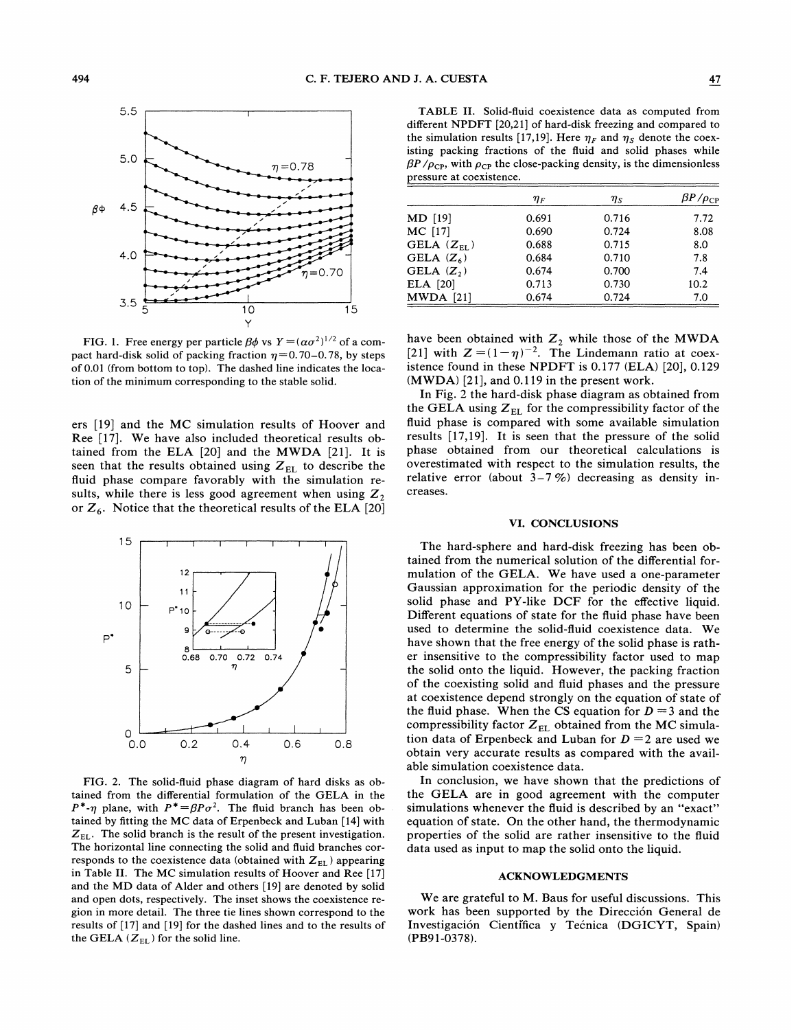

FIG. 1. Free energy per particle  $\beta\phi$  vs  $Y = (\alpha\sigma^2)^{1/2}$  of a compact hard-disk solid of packing fraction  $\eta=0.70-0.78$ , by steps of 0.01 (from bottom to top). The dashed line indicates the location of the minimum corresponding to the stable solid.

ers [19] and the MC simulation results of Hoover and Ree [17]. We have also included theoretical results obtained from the ELA [20] and the MWDA [21]. It is seen that the results obtained using  $Z_{EL}$  to describe the fluid phase compare favorably with the simulation results, while there is less good agreement when using  $Z_2$ or  $Z_6$ . Notice that the theoretical results of the ELA [20]



FIG. 2. The solid-fluid phase diagram of hard disks as obtained from the differential formulation of the GELA in the  $P^*$ - $\eta$  plane, with  $P^* = \beta P \sigma^2$ . The fluid branch has been obtained by fitting the MC data of Erpenbeck and Luban [14] with  $Z_{EL}$ . The solid branch is the result of the present investigation. The horizontal line connecting the solid and fluid branches corresponds to the coexistence data (obtained with  $Z_{EL}$ ) appearing in Table II. The MC simulation results of Hoover and Ree [17] and the MD data of Alder and others [19] are denoted by solid and open dots, respectively. The inset shows the coexistence region in more detail. The three tie lines shown correspond to the results of [17] and [19] for the dashed lines and to the results of the GELA  $(Z_{EL})$  for the solid line.

TABLE II. Solid-fluid coexistence data as computed from different NPDFT [20,21] of hard-disk freezing and compared to the simulation results [17,19]. Here  $\eta_F$  and  $\eta_S$  denote the coexisting packing fractions of the fluid and solid phases while  $\beta P / \rho_{CP}$ , with  $\rho_{CP}$  the close-packing density, is the dimensionless pressure at coexistence.

|                 | $\eta_F$ | $\eta_{S}$ | $\beta P/\rho_{\rm CP}$ |
|-----------------|----------|------------|-------------------------|
| MD [19]         | 0.691    | 0.716      | 7.72                    |
| MC [17]         | 0.690    | 0.724      | 8.08                    |
| GELA $(Z_{FI})$ | 0.688    | 0.715      | 8.0                     |
| GELA $(Z_6)$    | 0.684    | 0.710      | 7.8                     |
| GELA $(Z_2)$    | 0.674    | 0.700      | 7.4                     |
| ELA [20]        | 0.713    | 0.730      | 10.2                    |
| $MWDA$ [21]     | 0.674    | 0.724      | 7.0                     |

have been obtained with  $Z_2$  while those of the MWDA 21] with  $Z = (1 - \eta)^{-2}$ . The Lindemann ratio at coexistence found in these NPDFT is 0.177 (ELA) [20], 0.129 (MWDA) [21], and 0.119 in the present work.

In Fig. 2 the hard-disk phase diagram as obtained from the GELA using  $Z_{EL}$  for the compressibility factor of the fluid phase is compared with some available simulation results [17,19]. It is seen that the pressure of the solid phase obtained from our theoretical calculations is overestimated with respect to the simulation results, the relative error (about  $3-7\%$ ) decreasing as density increases.

## VI. CONCLUSIONS

The hard-sphere and hard-disk freezing has been obtained from the numerical solution of the differential formulation of the GELA. We have used a one-parameter Gaussian approximation for the periodic density of the solid phase and PY-like DCF for the effective liquid. Different equations of state for the fluid phase have been used to determine the solid-fluid coexistence data. We have shown that the free energy of the solid phase is rather insensitive to the compressibility factor used to map the solid onto the liquid. However, the packing fraction of the coexisting solid and fiuid phases and the pressure at coexistence depend strongly on the equation of state of the fluid phase. When the CS equation for  $D = 3$  and the compressibility factor  $Z_{EL}$  obtained from the MC simulation data of Erpenbeck and Luban for  $D = 2$  are used we obtain very accurate results as compared with the available simulation coexistence data.

In conclusion, we have shown that the predictions of the GELA are in good agreement with the computer simulations whenever the fluid is described by an "exact" equation of state. On the other hand, the thermodynamic properties of the solid are rather insensitive to the fluid data used as input to map the solid onto the liquid.

#### ACKNOWLEDGMENTS

We are grateful to M. Baus for useful discussions. This work has been supported by the Direccion General de Investigacion Cientifica y Tecnica (DGICYT, Spain) (PB91-0378).